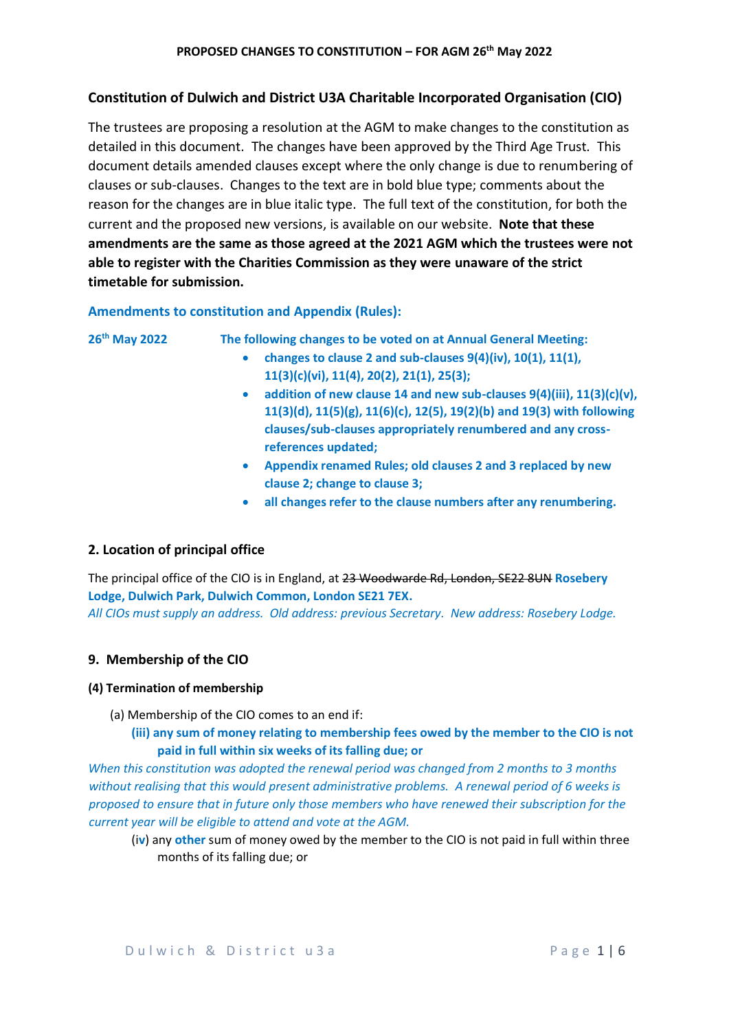# **Constitution of Dulwich and District U3A Charitable Incorporated Organisation (CIO)**

The trustees are proposing a resolution at the AGM to make changes to the constitution as detailed in this document. The changes have been approved by the Third Age Trust. This document details amended clauses except where the only change is due to renumbering of clauses or sub-clauses. Changes to the text are in bold blue type; comments about the reason for the changes are in blue italic type. The full text of the constitution, for both the current and the proposed new versions, is available on our website. **Note that these amendments are the same as those agreed at the 2021 AGM which the trustees were not able to register with the Charities Commission as they were unaware of the strict timetable for submission.**

# **Amendments to constitution and Appendix (Rules):**

| 26 <sup>th</sup> May 2022 | The following changes to be voted on at Annual General Meeting:                    |
|---------------------------|------------------------------------------------------------------------------------|
|                           | changes to clause 2 and sub-clauses 9(4)(iv), 10(1), 11(1),                        |
|                           | $11(3)(c)(vi), 11(4), 20(2), 21(1), 25(3);$                                        |
|                           | addition of new clause 14 and new sub-clauses 9(4)(iii), 11(3)(c)(v),<br>$\bullet$ |
|                           | 11(3)(d), 11(5)(g), 11(6)(c), 12(5), 19(2)(b) and 19(3) with following             |
|                           | clauses/sub-clauses appropriately renumbered and any cross-                        |
|                           | references updated;                                                                |
|                           | Appendix renamed Rules; old clauses 2 and 3 replaced by new<br>$\bullet$           |
|                           | clause 2; change to clause 3;                                                      |
|                           | all changes refer to the clause numbers after any renumbering.                     |

# **2. Location of principal office**

The principal office of the CIO is in England, at 23 Woodwarde Rd, London, SE22 8UN **Rosebery Lodge, Dulwich Park, Dulwich Common, London SE21 7EX.**

*All CIOs must supply an address. Old address: previous Secretary. New address: Rosebery Lodge.* 

# **9. Membership of the CIO**

### **(4) Termination of membership**

- (a) Membership of the CIO comes to an end if:
	- **(iii) any sum of money relating to membership fees owed by the member to the CIO is not paid in full within six weeks of its falling due; or**

*When this constitution was adopted the renewal period was changed from 2 months to 3 months without realising that this would present administrative problems. A renewal period of 6 weeks is proposed to ensure that in future only those members who have renewed their subscription for the current year will be eligible to attend and vote at the AGM.*

(i**v**) any **other** sum of money owed by the member to the CIO is not paid in full within three months of its falling due; or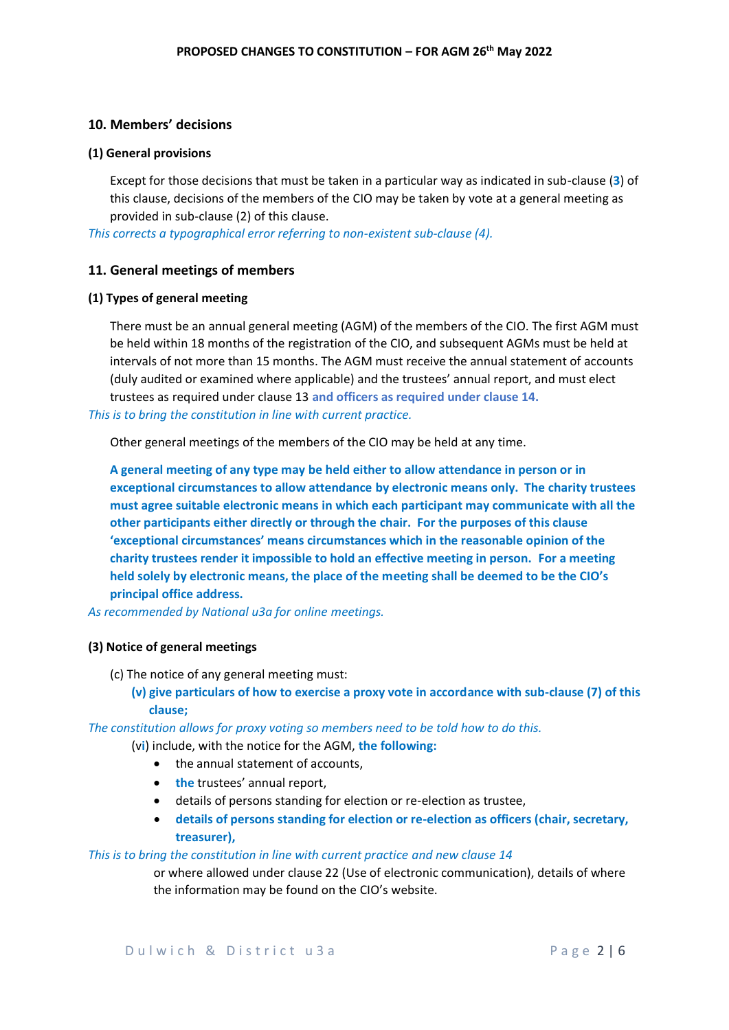### **10. Members' decisions**

#### **(1) General provisions**

Except for those decisions that must be taken in a particular way as indicated in sub-clause (**3**) of this clause, decisions of the members of the CIO may be taken by vote at a general meeting as provided in sub-clause (2) of this clause.

*This corrects a typographical error referring to non-existent sub-clause (4).*

#### **11. General meetings of members**

#### **(1) Types of general meeting**

There must be an annual general meeting (AGM) of the members of the CIO. The first AGM must be held within 18 months of the registration of the CIO, and subsequent AGMs must be held at intervals of not more than 15 months. The AGM must receive the annual statement of accounts (duly audited or examined where applicable) and the trustees' annual report, and must elect trustees as required under clause 13 **and officers as required under clause 14.**

*This is to bring the constitution in line with current practice.*

Other general meetings of the members of the CIO may be held at any time.

**A general meeting of any type may be held either to allow attendance in person or in exceptional circumstances to allow attendance by electronic means only. The charity trustees must agree suitable electronic means in which each participant may communicate with all the other participants either directly or through the chair. For the purposes of this clause 'exceptional circumstances' means circumstances which in the reasonable opinion of the charity trustees render it impossible to hold an effective meeting in person. For a meeting held solely by electronic means, the place of the meeting shall be deemed to be the CIO's principal office address.**

*As recommended by National u3a for online meetings.*

### **(3) Notice of general meetings**

- (c) The notice of any general meeting must:
	- **(v) give particulars of how to exercise a proxy vote in accordance with sub-clause (7) of this clause;**

*The constitution allows for proxy voting so members need to be told how to do this.*

- (v**i**) include, with the notice for the AGM, **the following:**
	- the annual statement of accounts,
	- **the** trustees' annual report,
	- details of persons standing for election or re-election as trustee,
	- **details of persons standing for election or re-election as officers (chair, secretary, treasurer),**

#### *This is to bring the constitution in line with current practice and new clause 14*

or where allowed under clause 22 (Use of electronic communication), details of where the information may be found on the CIO's website.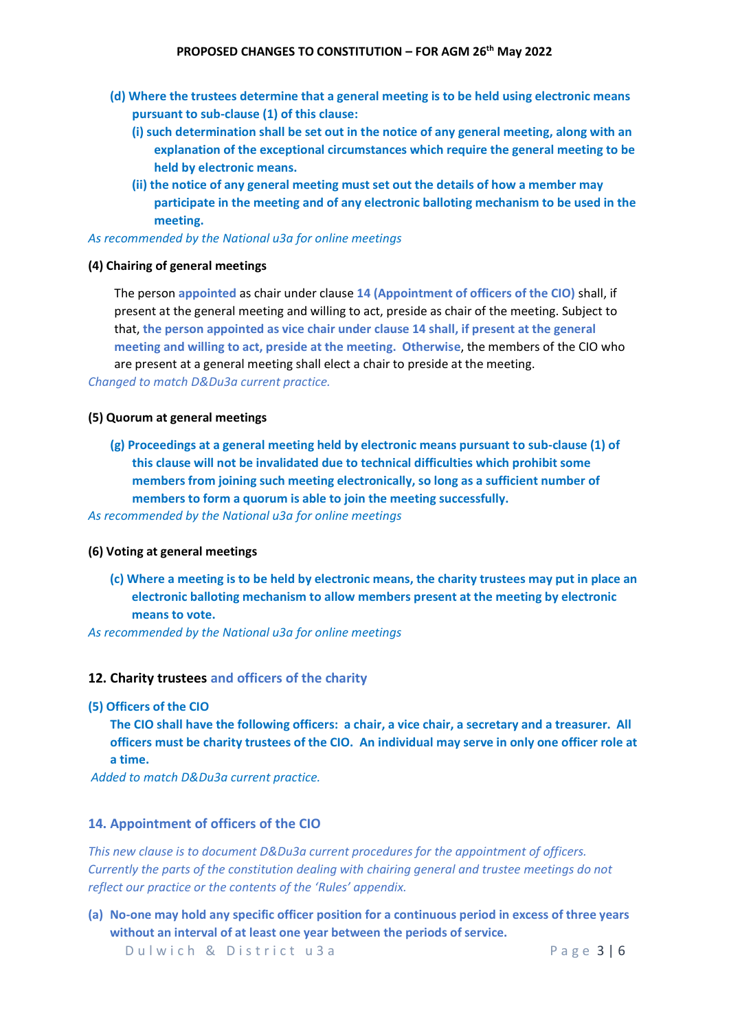#### **PROPOSED CHANGES TO CONSTITUTION – FOR AGM 26th May 2022**

- **(d) Where the trustees determine that a general meeting is to be held using electronic means pursuant to sub-clause (1) of this clause:**
	- **(i) such determination shall be set out in the notice of any general meeting, along with an explanation of the exceptional circumstances which require the general meeting to be held by electronic means.**
	- **(ii) the notice of any general meeting must set out the details of how a member may participate in the meeting and of any electronic balloting mechanism to be used in the meeting.**

#### *As recommended by the National u3a for online meetings*

### **(4) Chairing of general meetings**

The person **appointed** as chair under clause **14 (Appointment of officers of the CIO)** shall, if present at the general meeting and willing to act, preside as chair of the meeting. Subject to that, **the person appointed as vice chair under clause 14 shall, if present at the general meeting and willing to act, preside at the meeting. Otherwise**, the members of the CIO who are present at a general meeting shall elect a chair to preside at the meeting.

*Changed to match D&Du3a current practice.*

### **(5) Quorum at general meetings**

**(g) Proceedings at a general meeting held by electronic means pursuant to sub-clause (1) of this clause will not be invalidated due to technical difficulties which prohibit some members from joining such meeting electronically, so long as a sufficient number of members to form a quorum is able to join the meeting successfully.**

*As recommended by the National u3a for online meetings*

### **(6) Voting at general meetings**

**(c) Where a meeting is to be held by electronic means, the charity trustees may put in place an electronic balloting mechanism to allow members present at the meeting by electronic means to vote.**

*As recommended by the National u3a for online meetings*

### **12. Charity trustees and officers of the charity**

**(5) Officers of the CIO**

**The CIO shall have the following officers: a chair, a vice chair, a secretary and a treasurer. All officers must be charity trustees of the CIO. An individual may serve in only one officer role at a time.**

*Added to match D&Du3a current practice.*

# **14. Appointment of officers of the CIO**

*This new clause is to document D&Du3a current procedures for the appointment of officers. Currently the parts of the constitution dealing with chairing general and trustee meetings do not reflect our practice or the contents of the 'Rules' appendix.* 

**(a) No-one may hold any specific officer position for a continuous period in excess of three years without an interval of at least one year between the periods of service.** 

Dulwich & District u 3 a Page 3 | 6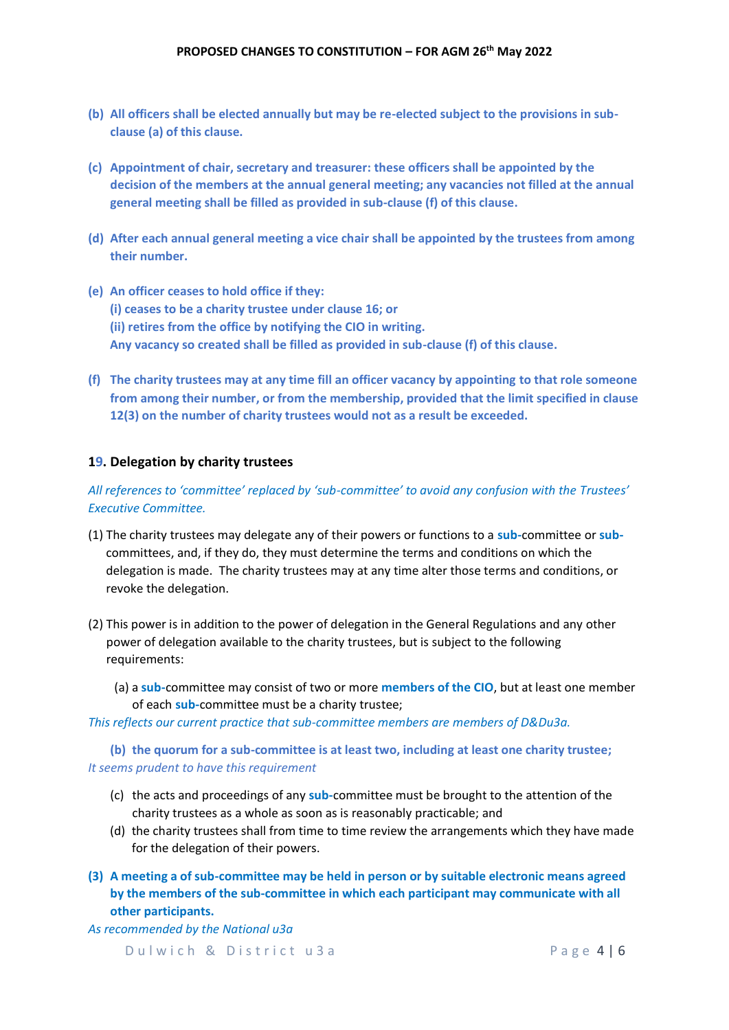- **(b) All officers shall be elected annually but may be re-elected subject to the provisions in subclause (a) of this clause.**
- **(c) Appointment of chair, secretary and treasurer: these officers shall be appointed by the decision of the members at the annual general meeting; any vacancies not filled at the annual general meeting shall be filled as provided in sub-clause (f) of this clause.**
- **(d) After each annual general meeting a vice chair shall be appointed by the trustees from among their number.**
- **(e) An officer ceases to hold office if they: (i) ceases to be a charity trustee under clause 16; or (ii) retires from the office by notifying the CIO in writing. Any vacancy so created shall be filled as provided in sub-clause (f) of this clause.**
- **(f) The charity trustees may at any time fill an officer vacancy by appointing to that role someone from among their number, or from the membership, provided that the limit specified in clause 12(3) on the number of charity trustees would not as a result be exceeded.**

# **19. Delegation by charity trustees**

*All references to 'committee' replaced by 'sub-committee' to avoid any confusion with the Trustees' Executive Committee.*

- (1) The charity trustees may delegate any of their powers or functions to a **sub-**committee or **sub**committees, and, if they do, they must determine the terms and conditions on which the delegation is made. The charity trustees may at any time alter those terms and conditions, or revoke the delegation.
- (2) This power is in addition to the power of delegation in the General Regulations and any other power of delegation available to the charity trustees, but is subject to the following requirements:
	- (a) a **sub-**committee may consist of two or more **members of the CIO**, but at least one member of each **sub-**committee must be a charity trustee;

*This reflects our current practice that sub-committee members are members of D&Du3a.*

**(b) the quorum for a sub-committee is at least two, including at least one charity trustee;** *It seems prudent to have this requirement*

- (c) the acts and proceedings of any **sub-**committee must be brought to the attention of the charity trustees as a whole as soon as is reasonably practicable; and
- (d) the charity trustees shall from time to time review the arrangements which they have made for the delegation of their powers.
- **(3) A meeting a of sub-committee may be held in person or by suitable electronic means agreed by the members of the sub-committee in which each participant may communicate with all other participants.**

*As recommended by the National u3a* 

Dulwich & District u 3 a metal control and the Page 4 | 6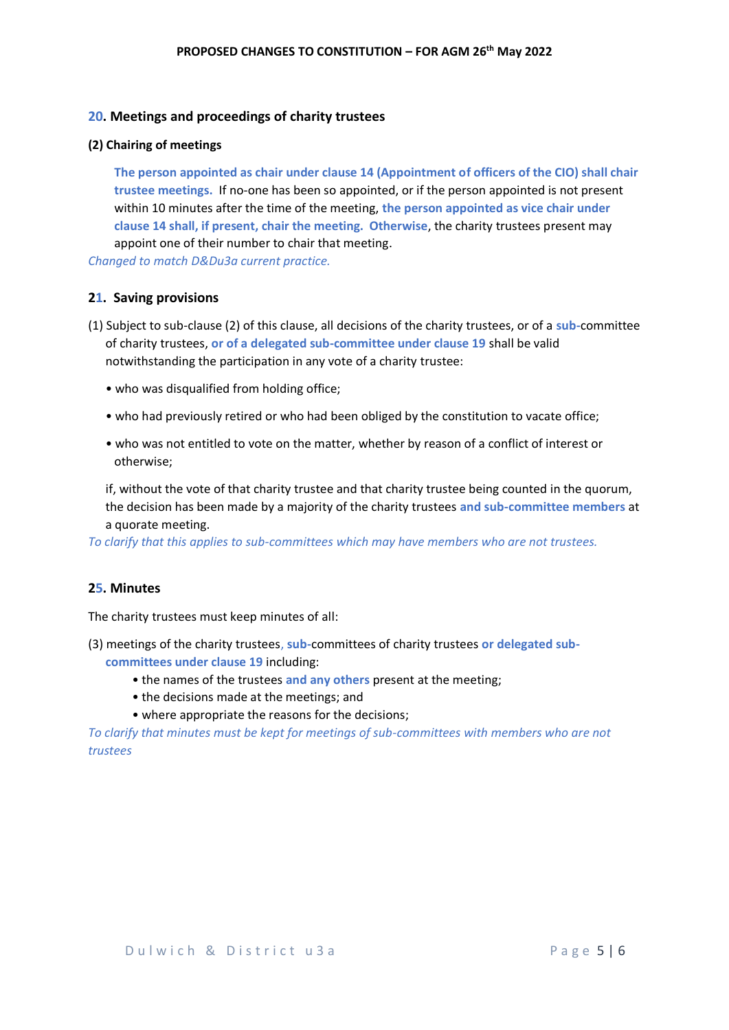### **20. Meetings and proceedings of charity trustees**

#### **(2) Chairing of meetings**

**The person appointed as chair under clause 14 (Appointment of officers of the CIO) shall chair trustee meetings.** If no-one has been so appointed, or if the person appointed is not present within 10 minutes after the time of the meeting, **the person appointed as vice chair under clause 14 shall, if present, chair the meeting. Otherwise**, the charity trustees present may appoint one of their number to chair that meeting.

*Changed to match D&Du3a current practice.*

### **21. Saving provisions**

- (1) Subject to sub-clause (2) of this clause, all decisions of the charity trustees, or of a **sub-**committee of charity trustees, **or of a delegated sub-committee under clause 19** shall be valid notwithstanding the participation in any vote of a charity trustee:
	- who was disqualified from holding office;
	- who had previously retired or who had been obliged by the constitution to vacate office;
	- who was not entitled to vote on the matter, whether by reason of a conflict of interest or otherwise;

if, without the vote of that charity trustee and that charity trustee being counted in the quorum, the decision has been made by a majority of the charity trustees **and sub-committee members** at a quorate meeting.

*To clarify that this applies to sub-committees which may have members who are not trustees.*

## **25. Minutes**

The charity trustees must keep minutes of all:

- (3) meetings of the charity trustees, **sub-**committees of charity trustees **or delegated subcommittees under clause 19** including:
	- the names of the trustees **and any others** present at the meeting;
	- the decisions made at the meetings; and
	- where appropriate the reasons for the decisions;

*To clarify that minutes must be kept for meetings of sub-committees with members who are not trustees*